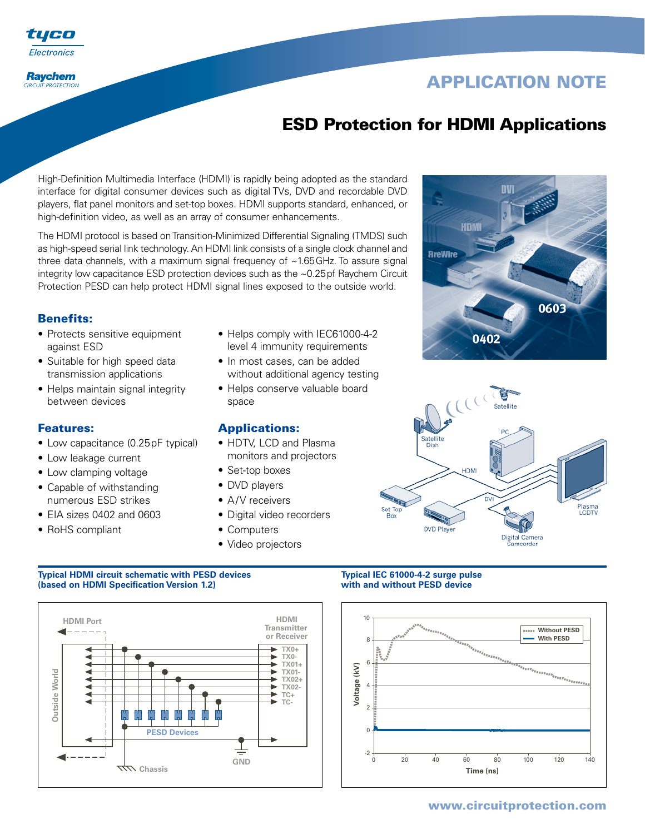

### **Raychem CIRCUIT PROTECTION**

# **APPLICATION NOTE**

# **ESD Protection for HDMI Applications**

High-Definition Multimedia Interface (HDMI) is rapidly being adopted as the standard interface for digital consumer devices such as digital TVs, DVD and recordable DVD players, flat panel monitors and set-top boxes. HDMI supports standard, enhanced, or high-definition video, as well as an array of consumer enhancements.

The HDMI protocol is based on Transition-Minimized Differential Signaling (TMDS) such as high-speed serial link technology. An HDMI link consists of a single clock channel and three data channels, with a maximum signal frequency of ~1.65GHz. To assure signal integrity low capacitance ESD protection devices such as the ~0.25pf Raychem Circuit Protection PESD can help protect HDMI signal lines exposed to the outside world.

# **Benefits:**

- Protects sensitive equipment against ESD
- Suitable for high speed data transmission applications
- Helps maintain signal integrity between devices

### **Features:**

- Low capacitance (0.25pF typical)
- Low leakage current
- Low clamping voltage
- Capable of withstanding numerous ESD strikes
- EIA sizes 0402 and 0603
- RoHS compliant
- Helps comply with IEC61000-4-2 level 4 immunity requirements
- In most cases, can be added without additional agency testing
- Helps conserve valuable board space

## **Applications:**

- HDTV, LCD and Plasma monitors and projectors
- Set-top boxes
- DVD players
- A/V receivers
- Digital video recorders
- Computers
- Video projectors

### **Typical HDMI circuit schematic with PESD devices Typical IEC 61000-4-2 surge pulse**<br>(based on HDMI Specification Version 1.2) **The Contract Washington With and without PESD device (based on HDMI Specification Version 1.2)**